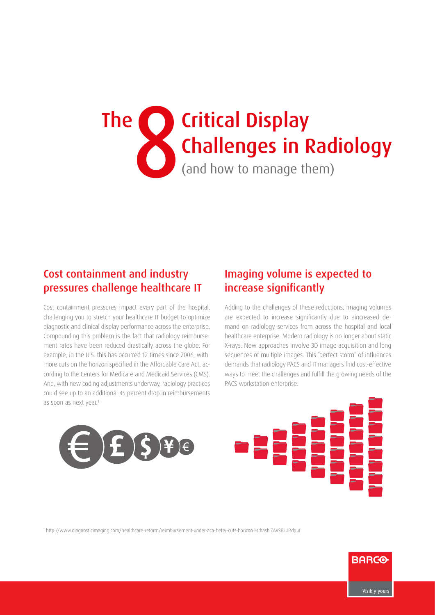# **8 (and how to manage them)** Challenges in Rac The Calc Critical Display Challenges in Radiology

# Cost containment and industry pressures challenge healthcare IT

Cost containment pressures impact every part of the hospital, challenging you to stretch your healthcare IT budget to optimize diagnostic and clinical display performance across the enterprise. Compounding this problem is the fact that radiology reimbursement rates have been reduced drastically across the globe. For example, in the U.S. this has occurred 12 times since 2006, with more cuts on the horizon specified in the Affordable Care Act, according to the Centers for Medicare and Medicaid Services (CMS). And, with new coding adjustments underway, radiology practices could see up to an additional 45 percent drop in reimbursements as soon as next year.<sup>1</sup>

# Imaging volume is expected to increase significantly

Adding to the challenges of these reductions, imaging volumes are expected to increase significantly due to aincreased demand on radiology services from across the hospital and local healthcare enterprise. Modern radiology is no longer about static X-rays. New approaches involve 3D image acquisition and long sequences of multiple images. This "perfect storm" of influences demands that radiology PACS and IT managers find cost-effective ways to meet the challenges and fulfill the growing needs of the PACS workstation enterprise.





1 http://www.diagnosticimaging.com/healthcare-reform/reimbursement-under-aca-hefty-cuts-horizon#sthash.ZAVSBLUP.dpuf

**BARCO**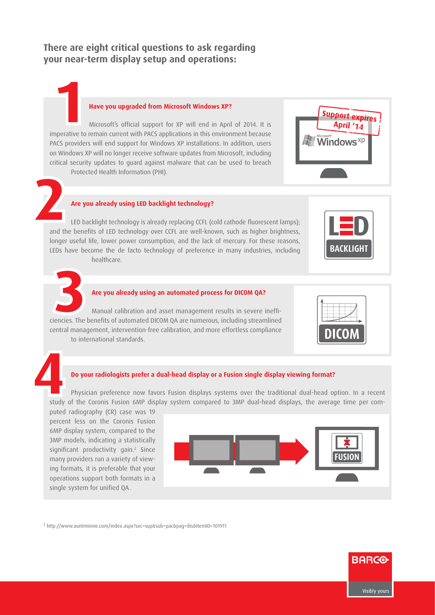### **There are eight critical questions to ask regarding your near-term display setup and operations:**

#### **Have you upgraded from Microsoft Windows XP?**

Microsoft's official support for XP will end in April of 2014. It is **Have you upgraded from Microsoft Windows XP?**<br>Microsoft's official support for XP will end in April of 2014. It is<br>imperative to remain current with PACS applications in this environment because PACS providers will end support for Windows XP installations. In addition, users on Windows XP will no longer receive software updates from Microsoft, including critical security updates to guard against malware that can be used to breach Protected Health Information (PHI).



# **2**

#### **Are you already using LED backlight technology?**

LED backlight technology is already replacing CCFL (cold cathode fluorescent lamps); and the benefits of LED technology over CCFL are well-known, such as higher brightness, longer useful life, lower power consumption, and the lack of mercury. For these reasons, LEDs have become the de facto technology of preference in many industries, including healthcare.





#### **Are you already using an automated process for DICOM QA?**

Manual calibration and asset management results in severe ineffi-Are you already using an automated process for DICOM QA?<br>
Manual calibration and asset management results in severe ineffi-<br>
ciencies. The benefits of automated DICOM QA are numerous, including streamlined central management, intervention-free calibration, and more effortless compliance to international standards.



#### **Do your radiologists prefer a dual-head display or a Fusion single display viewing format?**

Physician preference now favors Fusion displays systems over the traditional dual-head option. In a recent study of the Coronis Fusion 6MP display system compared to 3MP dual-head displays, the average time per com-**4**

puted radiography (CR) case was 19 percent less on the Coronis Fusion 6MP display system, compared to the 3MP models, indicating a statistically significant productivity gain.<sup>2</sup> Since many providers run a variety of viewing formats, it is preferable that your operations support both formats in a single system for unified QA.



2 http://www.auntminnie.com/index.aspx?sec=sup&sub=pac&pag=dis&ItemID=101911

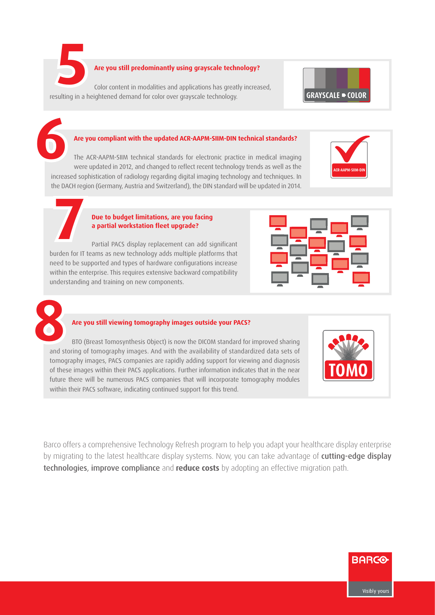**5** 

#### **Are you still predominantly using grayscale technology?**

Color content in modalities and applications has greatly increased, resulting in a heightened demand for color over grayscale technology.



#### **Are you compliant with the updated ACR-AAPM-SIIM-DIN technical standards?**

The ACR-AAPM-SIIM technical standards for electronic practice in medical imaging were updated in 2012, and changed to reflect recent technology trends as well as the increased sophistication of radiology regarding digital imaging technology and techniques. In the DACH region (Germany, Austria and Switzerland), the DIN standard will be updated in 2014. **6**



#### **Due to budget limitations, are you facing a partial workstation fleet upgrade?**

Partial PACS display replacement can add significant burden for IT teams as new technology adds multiple platforms that need to be supported and types of hardware configurations increase within the enterprise. This requires extensive backward compatibility understanding and training on new components. **7**





#### **Are you still viewing tomography images outside your PACS?**

BTO (Breast Tomosynthesis Object) is now the DICOM standard for improved sharing and storing of tomography images. And with the availability of standardized data sets of tomography images, PACS companies are rapidly adding support for viewing and diagnosis of these images within their PACS applications. Further information indicates that in the near future there will be numerous PACS companies that will incorporate tomography modules within their PACS software, indicating continued support for this trend.



Barco offers a comprehensive Technology Refresh program to help you adapt your healthcare display enterprise by migrating to the latest healthcare display systems. Now, you can take advantage of cutting-edge display technologies, improve compliance and **reduce costs** by adopting an effective migration path.